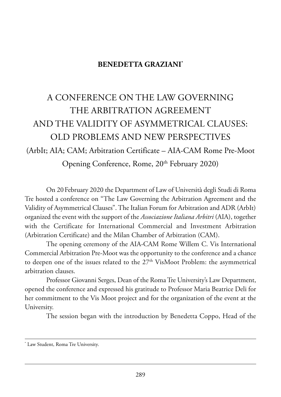## **BENEDETTA GRAZIANI\***

## a ConferenCe on the law GoVerninG THE ARBITRATION AGREEMENT and the ValiditY of asYmmetriCal Clauses: old proBlems and new perspeCtiVes (ArbIt; AIA; CAM; Arbitration Certificate – AIA-CAM Rome Pre-Moot Opening Conference, Rome, 20<sup>th</sup> February 2020)

On 20 February 2020 the Department of Law of Università degli Studi di Roma Tre hosted a conference on "The Law Governing the Arbitration Agreement and the Validity of Asymmetrical Clauses". The Italian Forum for Arbitration and ADR (ArbIt) organized the event with the support of the *Associazione Italiana Arbitri* (AIA), together with the Certificate for International Commercial and Investment Arbitration (Arbitration Certificate) and the Milan Chamber of Arbitration (CAM).

The opening ceremony of the AIA-CAM Rome Willem C. Vis International Commercial Arbitration Pre-Moot was the opportunity to the conference and a chance to deepen one of the issues related to the 27<sup>th</sup> VisMoot Problem: the asymmetrical arbitration clauses.

Professor Giovanni Serges, Dean of the Roma Tre University's Law Department, opened the conference and expressed his gratitude to Professor Maria Beatrice Deli for her commitment to the Vis Moot project and for the organization of the event at the University.

The session began with the introduction by Benedetta Coppo, Head of the

<sup>\*</sup> Law Student, Roma Tre University.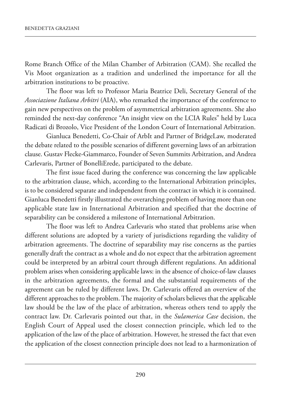Rome Branch Office of the Milan Chamber of Arbitration (CAM). She recalled the Vis moot organization as a tradition and underlined the importance for all the arbitration institutions to be proactive.

The floor was left to Professor Maria Beatrice Deli, Secretary General of the *Associazione Italiana Arbitri* (AIA), who remarked the importance of the conference to gain new perspectives on the problem of asymmetrical arbitration agreements. she also reminded the next-day conference "An insight view on the LCIA Rules" held by Luca Radicati di Brozolo, Vice President of the London Court of International Arbitration.

Gianluca Benedetti, Co-Chair of arbit and partner of Bridgelaw, moderated the debate related to the possible scenarios of different governing laws of an arbitration clause. Gustav Flecke-Giammarco, Founder of Seven Summits Arbitration, and Andrea Carlevaris, Partner of BonelliErede, participated to the debate.

The first issue faced during the conference was concerning the law applicable to the arbitration clause, which, according to the International Arbitration principles, is to be considered separate and independent from the contract in which it is contained. Gianluca Benedetti firstly illustrated the overarching problem of having more than one applicable state law in International Arbitration and specified that the doctrine of separability can be considered a milestone of International Arbitration.

The floor was left to Andrea Carlevaris who stated that problems arise when different solutions are adopted by a variety of jurisdictions regarding the validity of arbitration agreements. The doctrine of separability may rise concerns as the parties generally draft the contract as a whole and do not expect that the arbitration agreement could be interpreted by an arbitral court through different regulations. An additional problem arises when considering applicable laws: in the absence of choice-of-law clauses in the arbitration agreements, the formal and the substantial requirements of the agreement can be ruled by different laws. Dr. Carlevaris offered an overview of the different approaches to the problem. The majority of scholars believes that the applicable law should be the law of the place of arbitration, whereas others tend to apply the contract law. Dr. Carlevaris pointed out that, in the *Sulamerica Case* decision, the English Court of Appeal used the closest connection principle, which led to the application of the law of the place of arbitration. however, he stressed the fact that even the application of the closest connection principle does not lead to a harmonization of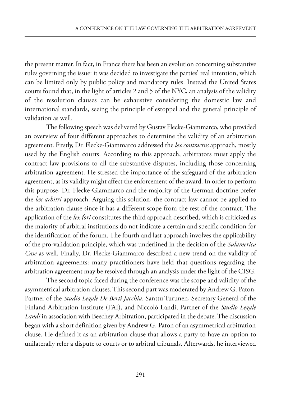the present matter. in fact, in france there has been an evolution concerning substantive rules governing the issue: it was decided to investigate the parties' real intention, which can be limited only by public policy and mandatory rules. Instead the United States courts found that, in the light of articles 2 and 5 of the nYC, an analysis of the validity of the resolution clauses can be exhaustive considering the domestic law and international standards, seeing the principle of estoppel and the general principle of validation as well.

The following speech was delivered by Gustav Flecke-Giammarco, who provided an overview of four different approaches to determine the validity of an arbitration agreement. firstly, dr. flecke-Giammarco addressed the *lex contractus* approach, mostly used by the English courts. According to this approach, arbitrators must apply the contract law provisions to all the substantive disputes, including those concerning arbitration agreement. he stressed the importance of the safeguard of the arbitration agreement, as its validity might affect the enforcement of the award. In order to perform this purpose, Dr. Flecke-Giammarco and the majority of the German doctrine prefer the *lex arbitri* approach. Arguing this solution, the contract law cannot be applied to the arbitration clause since it has a different scope from the rest of the contract. The application of the *lex fori* constitutes the third approach described, which is criticized as the majority of arbitral institutions do not indicate a certain and specific condition for the identification of the forum. The fourth and last approach involves the applicability of the pro-validation principle, which was underlined in the decision of the *Sulamerica* Case as well. Finally, Dr. Flecke-Giammarco described a new trend on the validity of arbitration agreements: many practitioners have held that questions regarding the arbitration agreement may be resolved through an analysis under the light of the CisG.

The second topic faced during the conference was the scope and validity of the asymmetrical arbitration clauses. This second part was moderated by Andrew G. Paton, Partner of the *Studio Legale De Berti Jacchia*. Santtu Turunen, Secretary General of the Finland Arbitration Institute (FAI), and Niccolò Landi, Partner of the *Studio Legale Landi* in association with Beechey Arbitration, participated in the debate. The discussion began with a short definition given by Andrew G. Paton of an asymmetrical arbitration clause. he defined it as an arbitration clause that allows a party to have an option to unilaterally refer a dispute to courts or to arbitral tribunals. afterwards, he interviewed